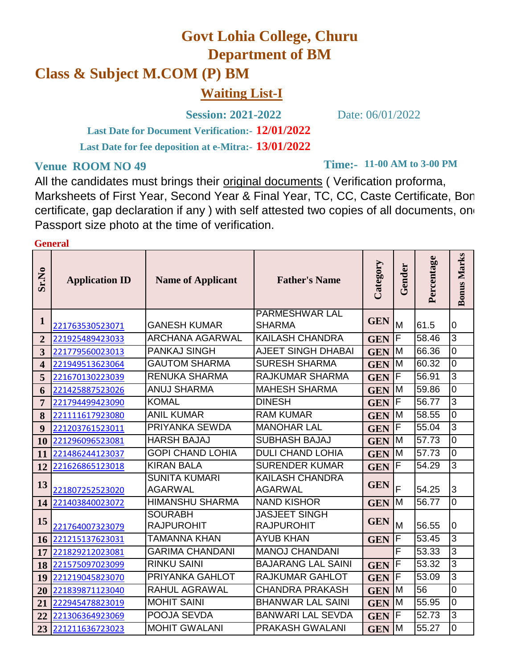## **Govt Lohia College, Churu Department of BM**

## **Class & Subject M.COM (P) BM**

**Waiting List-I**

**Session: 2021-2022** Date: 06/01/2022

**12/01/2022 Last Date for Document Verification:- 13/01/2022 Last Date for fee deposition at e-Mitra:-**

## **Venue ROOM NO 49**

**Time:- 11-00 AM to 3-00 PM**

All the candidates must brings their original documents ( Verification proforma, Marksheets of First Year, Second Year & Final Year, TC, CC, Caste Certificate, Bon certificate, gap declaration if any ) with self attested two copies of all documents, one Passport size photo at the time of verification.

## **General**

| Sr.No          | <b>Application ID</b> | <b>Name of Applicant</b>               | <b>Father's Name</b>                      | Category   | Gender | Percentage | <b>Bonus Marks</b> |
|----------------|-----------------------|----------------------------------------|-------------------------------------------|------------|--------|------------|--------------------|
| $\mathbf{1}$   |                       |                                        | <b>PARMESHWAR LAL</b>                     | <b>GEN</b> |        |            |                    |
|                | 221763530523071       | <b>GANESH KUMAR</b>                    | <b>SHARMA</b>                             |            | M      | 61.5       | $\overline{0}$     |
| $\overline{2}$ | 221925489423033       | ARCHANA AGARWAL                        | <b>KAILASH CHANDRA</b>                    | <b>GEN</b> | F      | 58.46      | $\overline{3}$     |
| 3              | 221779560023013       | PANKAJ SINGH                           | <b>AJEET SINGH DHABAI</b>                 | <b>GEN</b> | M      | 66.36      | $\overline{0}$     |
| 4              | 221949513623064       | <b>GAUTOM SHARMA</b>                   | <b>SURESH SHARMA</b>                      | <b>GEN</b> | M      | 60.32      | $\overline{0}$     |
| 5              | 221670130223039       | <b>RENUKA SHARMA</b>                   | RAJKUMAR SHARMA                           | <b>GEN</b> | F      | 56.91      | 3                  |
| 6              | 221425887523026       | <b>ANUJ SHARMA</b>                     | <b>MAHESH SHARMA</b>                      | <b>GEN</b> | M      | 59.86      | 0                  |
| 7              | 221794499423090       | <b>KOMAL</b>                           | <b>DINESH</b>                             | <b>GEN</b> | F      | 56.77      | $\overline{3}$     |
| 8              | 221111617923080       | <b>ANIL KUMAR</b>                      | <b>RAM KUMAR</b>                          | <b>GEN</b> | M      | 58.55      | $\overline{0}$     |
| 9              | 221203761523011       | PRIYANKA SEWDA                         | <b>MANOHAR LAL</b>                        | <b>GEN</b> | F      | 55.04      | 3                  |
| <b>10</b>      | 221296096523081       | <b>HARSH BAJAJ</b>                     | SUBHASH BAJAJ                             | <b>GEN</b> | M      | 57.73      | $\overline{0}$     |
| 11             | 221486244123037       | <b>GOPI CHAND LOHIA</b>                | <b>DULI CHAND LOHIA</b>                   | <b>GEN</b> | M      | 57.73      | $\overline{0}$     |
| 12             | 221626865123018       | <b>KIRAN BALA</b>                      | <b>SURENDER KUMAR</b>                     | <b>GEN</b> | F      | 54.29      | 3                  |
| 13             | 221807252523020       | <b>SUNITA KUMARI</b><br><b>AGARWAL</b> | <b>KAILASH CHANDRA</b><br><b>AGARWAL</b>  | <b>GEN</b> | F      | 54.25      | 3                  |
| 14             | 221403840023072       | <b>HIMANSHU SHARMA</b>                 | <b>NAND KISHOR</b>                        | <b>GEN</b> | M      | 56.77      | $\overline{0}$     |
| 15             | 221764007323079       | <b>SOURABH</b><br><b>RAJPUROHIT</b>    | <b>JASJEET SINGH</b><br><b>RAJPUROHIT</b> | <b>GEN</b> | M      | 56.55      | $\Omega$           |
| 16             | 221215137623031       | <b>TAMANNA KHAN</b>                    | <b>AYUB KHAN</b>                          | <b>GEN</b> | F      | 53.45      | 3                  |
| 17             | 221829212023081       | <b>GARIMA CHANDANI</b>                 | <b>MANOJ CHANDANI</b>                     |            | F      | 53.33      | 3                  |
| 18             | 221575097023099       | <b>RINKU SAINI</b>                     | <b>BAJARANG LAL SAINI</b>                 | <b>GEN</b> | F      | 53.32      | 3                  |
| 19             | 221219045823070       | PRIYANKA GAHLOT                        | RAJKUMAR GAHLOT                           | <b>GEN</b> | F      | 53.09      | 3                  |
| 20             | 221839871123040       | <b>RAHUL AGRAWAL</b>                   | <b>CHANDRA PRAKASH</b>                    | <b>GEN</b> | M      | 56         | 0                  |
| 21             | 222945478823019       | <b>MOHIT SAINI</b>                     | <b>BHANWAR LAL SAINI</b>                  | <b>GEN</b> | M      | 55.95      | $\overline{0}$     |
| 22             | 221306364923069       | POOJA SEVDA                            | <b>BANWARI LAL SEVDA</b>                  | <b>GEN</b> | F      | 52.73      | 3                  |
| 23             | 221211636723023       | <b>MOHIT GWALANI</b>                   | <b>PRAKASH GWALANI</b>                    | <b>GEN</b> | M      | 55.27      | $\overline{0}$     |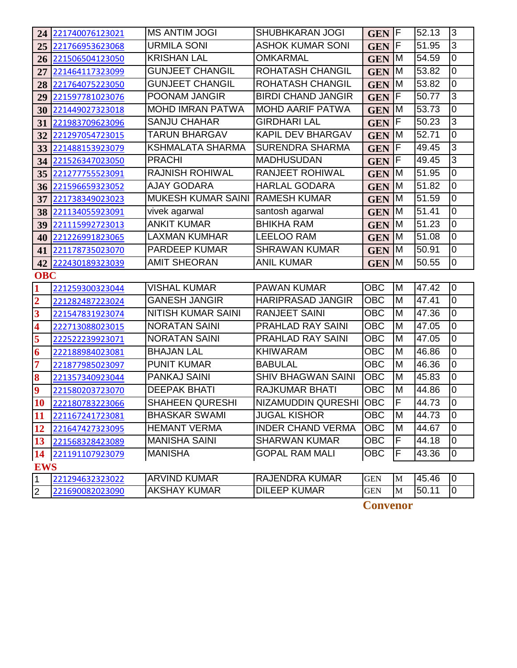| 24                      | 221740076123021 | <b>MS ANTIM JOGI</b>      | <b>SHUBHKARAN JOGI</b>    | GEN <sub>F</sub> |             | 52.13 | l3             |
|-------------------------|-----------------|---------------------------|---------------------------|------------------|-------------|-------|----------------|
| 25                      | 221766953623068 | <b>URMILA SONI</b>        | <b>ASHOK KUMAR SONI</b>   | <b>GEN</b>       | F           | 51.95 | $\overline{3}$ |
| 26                      | 221506504123050 | <b>KRISHAN LAL</b>        | <b>OMKARMAL</b>           | <b>GEN</b>       | M           | 54.59 | 0              |
| 27                      | 221464117323099 | <b>GUNJEET CHANGIL</b>    | ROHATASH CHANGIL          | <b>GEN</b>       | IM.         | 53.82 | $\overline{0}$ |
| 28                      | 221764075223050 | <b>GUNJEET CHANGIL</b>    | ROHATASH CHANGIL          | <b>GEN</b>       | ΙM          | 53.82 | $\overline{0}$ |
| 29                      | 221597781023076 | POONAM JANGIR             | <b>BIRDI CHAND JANGIR</b> | <b>GEN</b>       | $\mathsf F$ | 50.77 | 3              |
| 30                      | 221449027323018 | <b>MOHD IMRAN PATWA</b>   | <b>MOHD AARIF PATWA</b>   | <b>GEN</b>       | M           | 53.73 | $\overline{0}$ |
| 31                      | 221983709623096 | <b>SANJU CHAHAR</b>       | <b>GIRDHARI LAL</b>       | <b>GEN</b>       | IF          | 50.23 | $\overline{3}$ |
| 32                      | 221297054723015 | <b>TARUN BHARGAV</b>      | KAPIL DEV BHARGAV         | <b>GEN</b>       | ΙM          | 52.71 | $\overline{0}$ |
| 33                      | 221488153923079 | <b>KSHMALATA SHARMA</b>   | <b>SURENDRA SHARMA</b>    | <b>GEN</b>       | F           | 49.45 | $\overline{3}$ |
| 34                      | 221526347023050 | <b>PRACHI</b>             | <b>MADHUSUDAN</b>         | <b>GEN</b>       | F           | 49.45 | 3              |
| 35                      | 221277755523091 | <b>RAJNISH ROHIWAL</b>    | <b>RANJEET ROHIWAL</b>    | <b>GEN</b>       | ΙM          | 51.95 | $\overline{0}$ |
| 36                      | 221596659323052 | <b>AJAY GODARA</b>        | <b>HARLAL GODARA</b>      | <b>GEN</b>       | M           | 51.82 | $\overline{0}$ |
| 37                      | 221738349023023 | <b>MUKESH KUMAR SAINI</b> | <b>RAMESH KUMAR</b>       | <b>GEN</b>       | M           | 51.59 | $\overline{0}$ |
| 38                      | 221134055923091 | vivek agarwal             | santosh agarwal           | <b>GEN</b>       | M           | 51.41 | $\overline{0}$ |
| 39                      | 221115992723013 | <b>ANKIT KUMAR</b>        | <b>BHIKHA RAM</b>         | <b>GEN</b>       | M           | 51.23 | $\overline{0}$ |
| 40                      | 221226991823065 | <b>LAXMAN KUMHAR</b>      | <b>LEELOO RAM</b>         | <b>GEN</b>       | M           | 51.08 | $\overline{0}$ |
| 41                      | 221178735023070 | PARDEEP KUMAR             | <b>SHRAWAN KUMAR</b>      | <b>GEN</b>       | M           | 50.91 | 0              |
| 42                      | 222430189323039 | <b>AMIT SHEORAN</b>       | <b>ANIL KUMAR</b>         | <b>GEN</b>       | IM.         | 50.55 | $\overline{0}$ |
| <b>OBC</b>              |                 |                           |                           |                  |             |       |                |
| $\overline{\mathbf{1}}$ | 221259300323044 | <b>VISHAL KUMAR</b>       | PAWAN KUMAR               | <b>OBC</b>       | M           | 47.42 | l0             |
| $\overline{\mathbf{2}}$ | 221282487223024 | <b>GANESH JANGIR</b>      | <b>HARIPRASAD JANGIR</b>  | <b>OBC</b>       | M           | 47.41 | $\overline{0}$ |
| $\overline{\mathbf{3}}$ | 221547831923074 | <b>NITISH KUMAR SAINI</b> | <b>RANJEET SAINI</b>      | <b>OBC</b>       | M           | 47.36 | $\overline{0}$ |
| $\overline{\mathbf{4}}$ | 222713088023015 | <b>NORATAN SAINI</b>      | PRAHLAD RAY SAINI         | <b>OBC</b>       | M           | 47.05 | 0              |
| 5                       | 222522239923071 | <b>NORATAN SAINI</b>      | PRAHLAD RAY SAINI         | <b>OBC</b>       | M           | 47.05 | $\overline{0}$ |
| 6                       | 222188984023081 | <b>BHAJAN LAL</b>         | <b>KHIWARAM</b>           | <b>OBC</b>       | M           | 46.86 | 0              |
| 7                       | 221877985023097 | <b>PUNIT KUMAR</b>        | <b>BABULAL</b>            | <b>OBC</b>       | M           | 46.36 | $\overline{0}$ |
| 8                       | 221357340923044 | PANKAJ SAINI              | <b>SHIV BHAGWAN SAINI</b> | OBC              | M           | 45.83 | $\overline{0}$ |
| $\overline{\mathbf{9}}$ | 221580203723070 | <b>DEEPAK BHATI</b>       | <b>RAJKUMAR BHATI</b>     | <b>OBC</b>       | M           | 44.86 | $\overline{0}$ |
| 10                      | 222180783223066 | <b>SHAHEEN QURESHI</b>    | NIZAMUDDIN QURESHI OBC    |                  | Ŀ           | 44.73 | 10             |
| 11                      | 221167241723081 | <b>BHASKAR SWAMI</b>      | <b>JUGAL KISHOR</b>       | <b>OBC</b>       | M           | 44.73 | l0             |
| 12                      | 221647427323095 | <b>HEMANT VERMA</b>       | <b>INDER CHAND VERMA</b>  | <b>OBC</b>       | M           | 44.67 | 0              |
| 13                      | 221568328423089 | <b>MANISHA SAINI</b>      | <b>SHARWAN KUMAR</b>      | <b>OBC</b>       | F           | 44.18 | 0              |
| 14                      | 221191107923079 | <b>MANISHA</b>            | <b>GOPAL RAM MALI</b>     | <b>OBC</b>       | F           | 43.36 | 0              |
| <b>EWS</b>              |                 |                           |                           |                  |             |       |                |
| $\overline{1}$          | 221294632323022 | <b>ARVIND KUMAR</b>       | <b>RAJENDRA KUMAR</b>     | <b>GEN</b>       | M           | 45.46 | 0              |
| $\overline{2}$          | 221690082023090 | <b>AKSHAY KUMAR</b>       | <b>DILEEP KUMAR</b>       | <b>GEN</b>       | $\mathbf M$ | 50.11 | $\overline{0}$ |

**Convenor**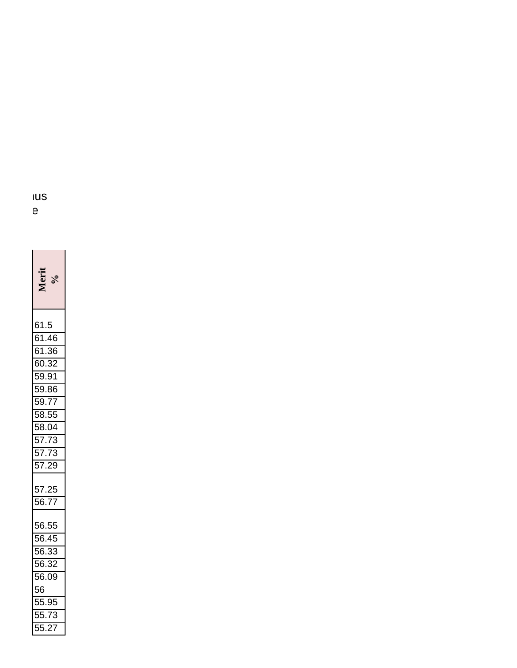| 61.5<br>61.46<br>61.36<br>60.32<br>59.91<br>59.91<br>59.77<br>58.55<br>58.04<br>57.73<br>57.73<br>57.73 |
|---------------------------------------------------------------------------------------------------------|
|                                                                                                         |
|                                                                                                         |
|                                                                                                         |
|                                                                                                         |
|                                                                                                         |
|                                                                                                         |
|                                                                                                         |
|                                                                                                         |
|                                                                                                         |
|                                                                                                         |
|                                                                                                         |
| 57.25<br>56.77                                                                                          |
|                                                                                                         |
| 56.55<br>56.45<br>56.33<br>56.32<br>56.09<br>56.09<br>55.73<br>55.73                                    |
|                                                                                                         |
|                                                                                                         |
|                                                                                                         |
|                                                                                                         |
|                                                                                                         |
|                                                                                                         |
|                                                                                                         |
|                                                                                                         |

**Marksheets** of Figures of  $\overline{S}$ certificate, gap declaration in any  $e$